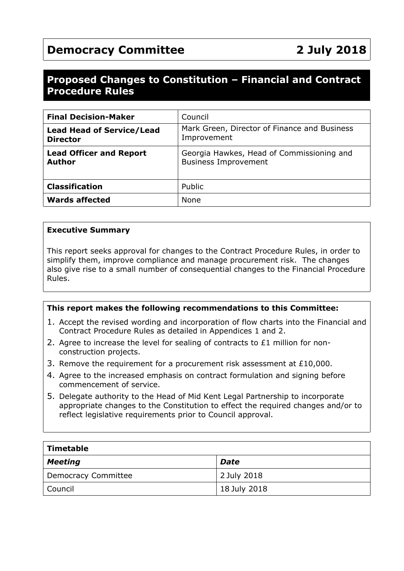# **Democracy Committee 2 July 2018**

# **Proposed Changes to Constitution – Financial and Contract Procedure Rules**

| <b>Final Decision-Maker</b>                         | Council                                                                  |
|-----------------------------------------------------|--------------------------------------------------------------------------|
| <b>Lead Head of Service/Lead</b><br><b>Director</b> | Mark Green, Director of Finance and Business<br>Improvement              |
| <b>Lead Officer and Report</b><br><b>Author</b>     | Georgia Hawkes, Head of Commissioning and<br><b>Business Improvement</b> |
| <b>Classification</b>                               | Public                                                                   |
| <b>Wards affected</b>                               | <b>None</b>                                                              |

#### **Executive Summary**

This report seeks approval for changes to the Contract Procedure Rules, in order to simplify them, improve compliance and manage procurement risk. The changes also give rise to a small number of consequential changes to the Financial Procedure Rules.

#### **This report makes the following recommendations to this Committee:**

- 1. Accept the revised wording and incorporation of flow charts into the Financial and Contract Procedure Rules as detailed in Appendices 1 and 2.
- 2. Agree to increase the level for sealing of contracts to £1 million for nonconstruction projects.
- 3. Remove the requirement for a procurement risk assessment at £10,000.
- 4. Agree to the increased emphasis on contract formulation and signing before commencement of service.
- 5. Delegate authority to the Head of Mid Kent Legal Partnership to incorporate appropriate changes to the Constitution to effect the required changes and/or to reflect legislative requirements prior to Council approval.

| Timetable           |              |  |  |
|---------------------|--------------|--|--|
| Meeting             | <b>Date</b>  |  |  |
| Democracy Committee | 2 July 2018  |  |  |
| Council             | 18 July 2018 |  |  |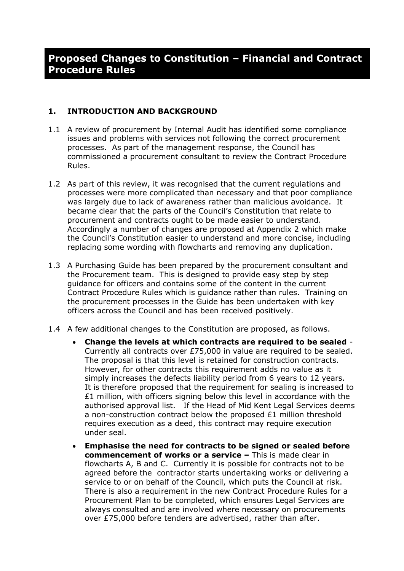#### **1. INTRODUCTION AND BACKGROUND**

- 1.1 A review of procurement by Internal Audit has identified some compliance issues and problems with services not following the correct procurement processes. As part of the management response, the Council has commissioned a procurement consultant to review the Contract Procedure Rules.
- 1.2 As part of this review, it was recognised that the current regulations and processes were more complicated than necessary and that poor compliance was largely due to lack of awareness rather than malicious avoidance. It became clear that the parts of the Council's Constitution that relate to procurement and contracts ought to be made easier to understand. Accordingly a number of changes are proposed at Appendix 2 which make the Council's Constitution easier to understand and more concise, including replacing some wording with flowcharts and removing any duplication.
- 1.3 A Purchasing Guide has been prepared by the procurement consultant and the Procurement team. This is designed to provide easy step by step guidance for officers and contains some of the content in the current Contract Procedure Rules which is guidance rather than rules. Training on the procurement processes in the Guide has been undertaken with key officers across the Council and has been received positively.
- 1.4 A few additional changes to the Constitution are proposed, as follows.
	- **Change the levels at which contracts are required to be sealed** Currently all contracts over £75,000 in value are required to be sealed. The proposal is that this level is retained for construction contracts. However, for other contracts this requirement adds no value as it simply increases the defects liability period from 6 years to 12 years. It is therefore proposed that the requirement for sealing is increased to £1 million, with officers signing below this level in accordance with the authorised approval list. If the Head of Mid Kent Legal Services deems a non-construction contract below the proposed  $E1$  million threshold requires execution as a deed, this contract may require execution under seal.
	- **Emphasise the need for contracts to be signed or sealed before commencement of works or a service –** This is made clear in flowcharts A, B and C.Currently it is possible for contracts not to be agreed before the contractor starts undertaking works or delivering a service to or on behalf of the Council, which puts the Council at risk. There is also a requirement in the new Contract Procedure Rules for a Procurement Plan to be completed, which ensures Legal Services are always consulted and are involved where necessary on procurements over £75,000 before tenders are advertised, rather than after.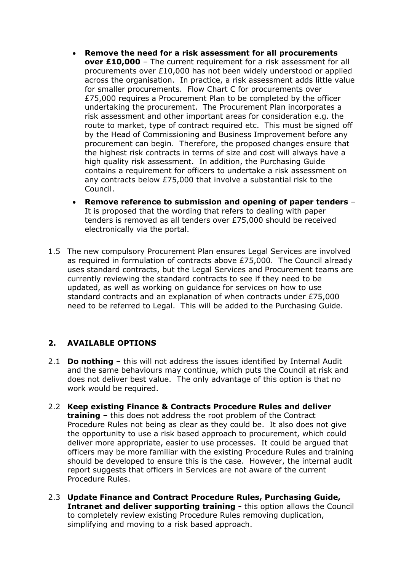- **Remove the need for a risk assessment for all procurements over £10,000** – The current requirement for a risk assessment for all procurements over £10,000 has not been widely understood or applied across the organisation. In practice, a risk assessment adds little value for smaller procurements. Flow Chart C for procurements over £75,000 requires a Procurement Plan to be completed by the officer undertaking the procurement. The Procurement Plan incorporates a risk assessment and other important areas for consideration e.g. the route to market, type of contract required etc. This must be signed off by the Head of Commissioning and Business Improvement before any procurement can begin. Therefore, the proposed changes ensure that the highest risk contracts in terms of size and cost will always have a high quality risk assessment. In addition, the Purchasing Guide contains a requirement for officers to undertake a risk assessment on any contracts below £75,000 that involve a substantial risk to the Council.
- **Remove reference to submission and opening of paper tenders** It is proposed that the wording that refers to dealing with paper tenders is removed as all tenders over £75,000 should be received electronically via the portal.
- 1.5 The new compulsory Procurement Plan ensures Legal Services are involved as required in formulation of contracts above £75,000. The Council already uses standard contracts, but the Legal Services and Procurement teams are currently reviewing the standard contracts to see if they need to be updated, as well as working on guidance for services on how to use standard contracts and an explanation of when contracts under £75,000 need to be referred to Legal. This will be added to the Purchasing Guide.

## **2. AVAILABLE OPTIONS**

- 2.1 **Do nothing** this will not address the issues identified by Internal Audit and the same behaviours may continue, which puts the Council at risk and does not deliver best value. The only advantage of this option is that no work would be required.
- 2.2 **Keep existing Finance & Contracts Procedure Rules and deliver training** – this does not address the root problem of the Contract Procedure Rules not being as clear as they could be. It also does not give the opportunity to use a risk based approach to procurement, which could deliver more appropriate, easier to use processes. It could be argued that officers may be more familiar with the existing Procedure Rules and training should be developed to ensure this is the case. However, the internal audit report suggests that officers in Services are not aware of the current Procedure Rules.
- 2.3 **Update Finance and Contract Procedure Rules, Purchasing Guide, Intranet and deliver supporting training -** this option allows the Council to completely review existing Procedure Rules removing duplication, simplifying and moving to a risk based approach.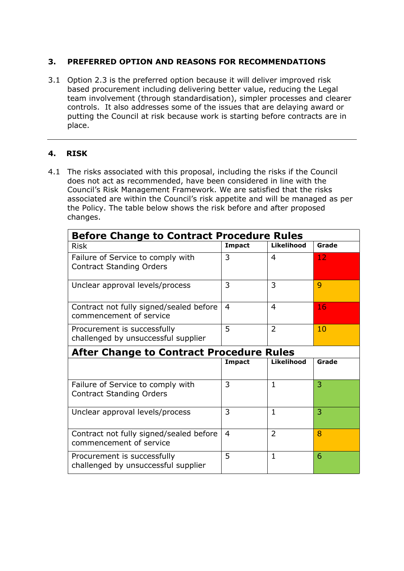#### **3. PREFERRED OPTION AND REASONS FOR RECOMMENDATIONS**

3.1 Option 2.3 is the preferred option because it will deliver improved risk based procurement including delivering better value, reducing the Legal team involvement (through standardisation), simpler processes and clearer controls. It also addresses some of the issues that are delaying award or putting the Council at risk because work is starting before contracts are in place.

## **4. RISK**

4.1 The risks associated with this proposal, including the risks if the Council does not act as recommended, have been considered in line with the Council's Risk Management Framework. We are satisfied that the risks associated are within the Council's risk appetite and will be managed as per the Policy. The table below shows the risk before and after proposed changes.

| <b>Before Change to Contract Procedure Rules</b>                     |               |                |       |  |  |
|----------------------------------------------------------------------|---------------|----------------|-------|--|--|
| <b>Risk</b>                                                          | <b>Impact</b> | Likelihood     | Grade |  |  |
| Failure of Service to comply with<br><b>Contract Standing Orders</b> | 3             | $\overline{4}$ | 12    |  |  |
| Unclear approval levels/process                                      | 3             | 3              | 9     |  |  |
| Contract not fully signed/sealed before<br>commencement of service   | 4             | 4              | 16    |  |  |
| Procurement is successfully<br>challenged by unsuccessful supplier   | 5             | $\overline{2}$ | 10    |  |  |
| <b>After Change to Contract Procedure Rules</b>                      |               |                |       |  |  |
|                                                                      | <b>Impact</b> | Likelihood     | Grade |  |  |
| Failure of Service to comply with<br><b>Contract Standing Orders</b> | 3             | $\mathbf{1}$   | 3     |  |  |
| Unclear approval levels/process                                      | 3             | $\mathbf{1}$   | 3     |  |  |
| Contract not fully signed/sealed before<br>commencement of service   | 4             | $\overline{2}$ | 8     |  |  |
| Procurement is successfully<br>challenged by unsuccessful supplier   | 5             | $\mathbf{1}$   | 6     |  |  |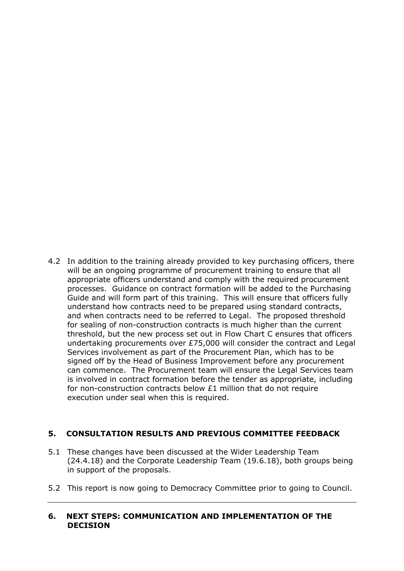4.2 In addition to the training already provided to key purchasing officers, there will be an ongoing programme of procurement training to ensure that all appropriate officers understand and comply with the required procurement processes. Guidance on contract formation will be added to the Purchasing Guide and will form part of this training. This will ensure that officers fully understand how contracts need to be prepared using standard contracts, and when contracts need to be referred to Legal. The proposed threshold for sealing of non-construction contracts is much higher than the current threshold, but the new process set out in Flow Chart C ensures that officers undertaking procurements over £75,000 will consider the contract and Legal Services involvement as part of the Procurement Plan, which has to be signed off by the Head of Business Improvement before any procurement can commence. The Procurement team will ensure the Legal Services team is involved in contract formation before the tender as appropriate, including for non-construction contracts below  $E1$  million that do not require execution under seal when this is required.

#### **5. CONSULTATION RESULTS AND PREVIOUS COMMITTEE FEEDBACK**

- 5.1 These changes have been discussed at the Wider Leadership Team (24.4.18) and the Corporate Leadership Team (19.6.18), both groups being in support of the proposals.
- 5.2 This report is now going to Democracy Committee prior to going to Council.

#### **6. NEXT STEPS: COMMUNICATION AND IMPLEMENTATION OF THE DECISION**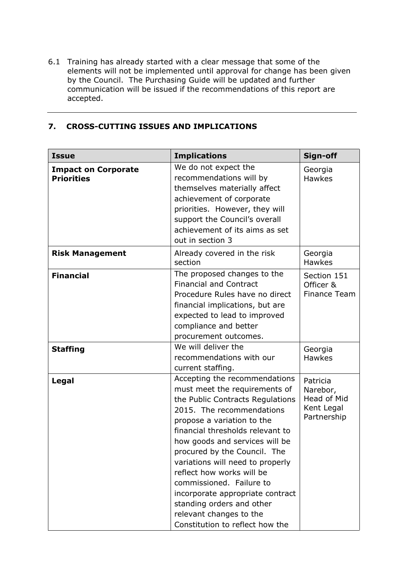6.1 Training has already started with a clear message that some of the elements will not be implemented until approval for change has been given by the Council. The Purchasing Guide will be updated and further communication will be issued if the recommendations of this report are accepted.

# **7. CROSS-CUTTING ISSUES AND IMPLICATIONS**

| <b>Issue</b>                                    | <b>Implications</b>                                                                                                                                                                                                                                                                                                                                                                                                                                                                             | Sign-off                                                         |
|-------------------------------------------------|-------------------------------------------------------------------------------------------------------------------------------------------------------------------------------------------------------------------------------------------------------------------------------------------------------------------------------------------------------------------------------------------------------------------------------------------------------------------------------------------------|------------------------------------------------------------------|
| <b>Impact on Corporate</b><br><b>Priorities</b> | We do not expect the<br>recommendations will by<br>themselves materially affect<br>achievement of corporate<br>priorities. However, they will<br>support the Council's overall<br>achievement of its aims as set<br>out in section 3                                                                                                                                                                                                                                                            | Georgia<br><b>Hawkes</b>                                         |
| <b>Risk Management</b>                          | Already covered in the risk<br>section                                                                                                                                                                                                                                                                                                                                                                                                                                                          | Georgia<br><b>Hawkes</b>                                         |
| <b>Financial</b>                                | The proposed changes to the<br><b>Financial and Contract</b><br>Procedure Rules have no direct<br>financial implications, but are<br>expected to lead to improved<br>compliance and better<br>procurement outcomes.                                                                                                                                                                                                                                                                             | Section 151<br>Officer &<br>Finance Team                         |
| <b>Staffing</b>                                 | We will deliver the<br>recommendations with our<br>current staffing.                                                                                                                                                                                                                                                                                                                                                                                                                            | Georgia<br><b>Hawkes</b>                                         |
| Legal                                           | Accepting the recommendations<br>must meet the requirements of<br>the Public Contracts Regulations<br>2015. The recommendations<br>propose a variation to the<br>financial thresholds relevant to<br>how goods and services will be<br>procured by the Council. The<br>variations will need to properly<br>reflect how works will be<br>commissioned. Failure to<br>incorporate appropriate contract<br>standing orders and other<br>relevant changes to the<br>Constitution to reflect how the | Patricia<br>Narebor,<br>Head of Mid<br>Kent Legal<br>Partnership |